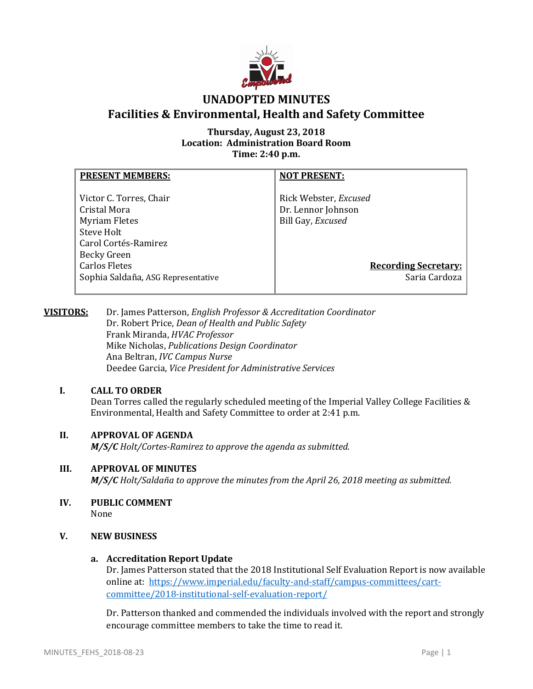

# **UNADOPTED MINUTES Facilities & Environmental, Health and Safety Committee**

## **Thursday, August 23, 2018 Location: Administration Board Room Time: 2:40 p.m.**

| <b>PRESENT MEMBERS:</b>                                                                                                                             | <b>NOT PRESENT:</b>                                                                             |
|-----------------------------------------------------------------------------------------------------------------------------------------------------|-------------------------------------------------------------------------------------------------|
| Victor C. Torres, Chair<br>Cristal Mora<br><b>Myriam Fletes</b><br>Steve Holt<br>Carol Cortés-Ramirez<br><b>Becky Green</b><br><b>Carlos Fletes</b> | Rick Webster, Excused<br>Dr. Lennor Johnson<br>Bill Gay, Excused<br><b>Recording Secretary:</b> |
| Sophia Saldaña, ASG Representative                                                                                                                  | Saria Cardoza                                                                                   |

## **VISITORS:** Dr. James Patterson, *English Professor & Accreditation Coordinator* Dr. Robert Price, *Dean of Health and Public Safety* Frank Miranda, *HVAC Professor* Mike Nicholas, *Publications Design Coordinator* Ana Beltran, *IVC Campus Nurse* Deedee Garcia, *Vice President for Administrative Services*

# **I. CALL TO ORDER**

Dean Torres called the regularly scheduled meeting of the Imperial Valley College Facilities & Environmental, Health and Safety Committee to order at 2:41 p.m.

# **II. APPROVAL OF AGENDA**

*M/S/C Holt/Cortes-Ramirez to approve the agenda as submitted.*

## **III. APPROVAL OF MINUTES**

*M/S/C Holt/Saldaña to approve the minutes from the April 26, 2018 meeting as submitted.*

**IV. PUBLIC COMMENT** None

## **V. NEW BUSINESS**

## **a. Accreditation Report Update**

Dr. James Patterson stated that the 2018 Institutional Self Evaluation Report is now available online at: [https://www.imperial.edu/faculty-and-staff/campus-committees/cart](https://www.imperial.edu/faculty-and-staff/campus-committees/cart-committee/2018-institutional-self-evaluation-report/)[committee/2018-institutional-self-evaluation-report/](https://www.imperial.edu/faculty-and-staff/campus-committees/cart-committee/2018-institutional-self-evaluation-report/)

Dr. Patterson thanked and commended the individuals involved with the report and strongly encourage committee members to take the time to read it.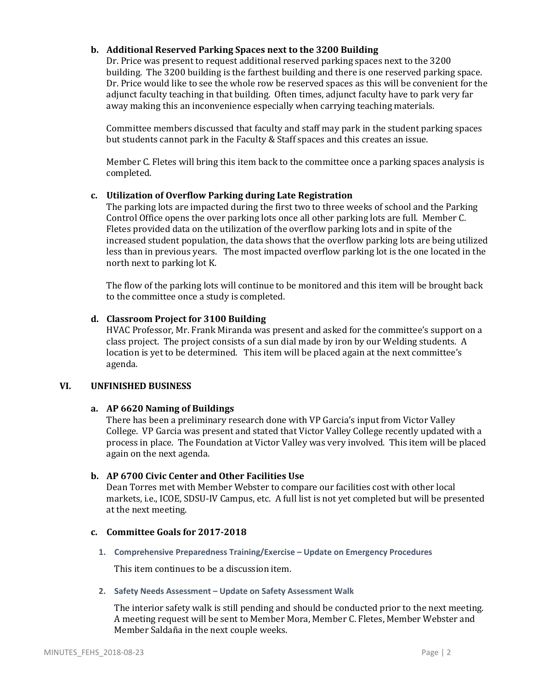## **b. Additional Reserved Parking Spaces next to the 3200 Building**

Dr. Price was present to request additional reserved parking spaces next to the 3200 building. The 3200 building is the farthest building and there is one reserved parking space. Dr. Price would like to see the whole row be reserved spaces as this will be convenient for the adjunct faculty teaching in that building. Often times, adjunct faculty have to park very far away making this an inconvenience especially when carrying teaching materials.

Committee members discussed that faculty and staff may park in the student parking spaces but students cannot park in the Faculty & Staff spaces and this creates an issue.

Member C. Fletes will bring this item back to the committee once a parking spaces analysis is completed.

## **c. Utilization of Overflow Parking during Late Registration**

The parking lots are impacted during the first two to three weeks of school and the Parking Control Office opens the over parking lots once all other parking lots are full. Member C. Fletes provided data on the utilization of the overflow parking lots and in spite of the increased student population, the data shows that the overflow parking lots are being utilized less than in previous years. The most impacted overflow parking lot is the one located in the north next to parking lot K.

The flow of the parking lots will continue to be monitored and this item will be brought back to the committee once a study is completed.

#### **d. Classroom Project for 3100 Building**

HVAC Professor, Mr. Frank Miranda was present and asked for the committee's support on a class project. The project consists of a sun dial made by iron by our Welding students. A location is yet to be determined. This item will be placed again at the next committee's agenda.

#### **VI. UNFINISHED BUSINESS**

## **a. AP 6620 Naming of Buildings**

There has been a preliminary research done with VP Garcia's input from Victor Valley College. VP Garcia was present and stated that Victor Valley College recently updated with a process in place. The Foundation at Victor Valley was very involved. This item will be placed again on the next agenda.

## **b. AP 6700 Civic Center and Other Facilities Use**

Dean Torres met with Member Webster to compare our facilities cost with other local markets, i.e., ICOE, SDSU-IV Campus, etc. A full list is not yet completed but will be presented at the next meeting.

#### **c. Committee Goals for 2017-2018**

**1. Comprehensive Preparedness Training/Exercise – Update on Emergency Procedures**

This item continues to be a discussion item.

#### **2. Safety Needs Assessment – Update on Safety Assessment Walk**

The interior safety walk is still pending and should be conducted prior to the next meeting. A meeting request will be sent to Member Mora, Member C. Fletes, Member Webster and Member Saldaña in the next couple weeks.